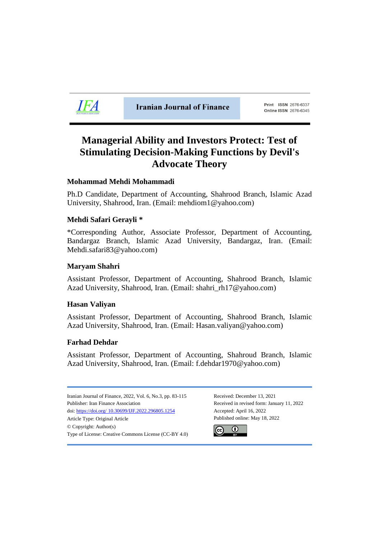

**Iranian Journal of Finance** 

Print ISSN 2676-6337 Online ISSN 2676-6345

# **Managerial Ability and Investors Protect: Test of Stimulating Decision-Making Functions by Devil's Advocate Theory**

# **Mohammad Mehdi Mohammadi**

Ph.D Candidate, Department of Accounting, Shahrood Branch, Islamic Azad University, Shahrood, Iran. (Email: mehdiom1@yahoo.com)

# **Mehdi Safari Gerayli \***

\*Corresponding Author, Associate Professor, Department of Accounting, Bandargaz Branch, Islamic Azad University, Bandargaz, Iran. (Email: Mehdi.safari83@yahoo.com)

# **Maryam Shahri**

Assistant Professor, Department of Accounting, Shahrood Branch, Islamic Azad University, Shahrood, Iran. (Email: shahri\_rh17@yahoo.com)

# **Hasan Valiyan**

Assistant Professor, Department of Accounting, Shahrood Branch, Islamic Azad University, Shahrood, Iran. (Email: Hasan.valiyan@yahoo.com)

# **Farhad Dehdar**

Assistant Professor, Department of Accounting, Shahroud Branch, Islamic Azad University, Shahrood, Iran. (Email: f.dehdar1970@yahoo.com)

Iranian Journal of Finance, 2022, Vol. 6, No.3, pp. 83-115 Received: December 13, 2021 Publisher: Iran Finance Association Received in revised form: January 11, 2022 doi: https://doi.org/ [10.30699/IJF.2022.296805.1254](https://doi.org/%2010.30699/IJF.2022.296805.1254) Accepted: April 16, 2022 Article Type: Original Article **Published online: May 18**, 2022 © Copyright: Author(s) Type of License: Creative Commons License (CC-BY 4.0)

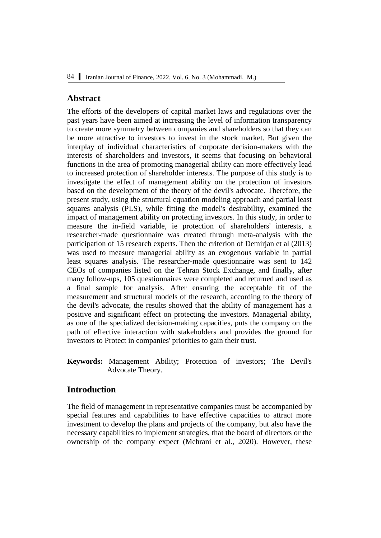## **Abstract**

The efforts of the developers of capital market laws and regulations over the past years have been aimed at increasing the level of information transparency to create more symmetry between companies and shareholders so that they can be more attractive to investors to invest in the stock market. But given the interplay of individual characteristics of corporate decision-makers with the interests of shareholders and investors, it seems that focusing on behavioral functions in the area of promoting managerial ability can more effectively lead to increased protection of shareholder interests. The purpose of this study is to investigate the effect of management ability on the protection of investors based on the development of the theory of the devil's advocate. Therefore, the present study, using the structural equation modeling approach and partial least squares analysis (PLS), while fitting the model's desirability, examined the impact of management ability on protecting investors. In this study, in order to measure the in-field variable, ie protection of shareholders' interests, a researcher-made questionnaire was created through meta-analysis with the participation of 15 research experts. Then the criterion of Demirjan et al (2013) was used to measure managerial ability as an exogenous variable in partial least squares analysis. The researcher-made questionnaire was sent to 142 CEOs of companies listed on the Tehran Stock Exchange, and finally, after many follow-ups, 105 questionnaires were completed and returned and used as a final sample for analysis. After ensuring the acceptable fit of the measurement and structural models of the research, according to the theory of the devil's advocate, the results showed that the ability of management has a positive and significant effect on protecting the investors. Managerial ability, as one of the specialized decision-making capacities, puts the company on the path of effective interaction with stakeholders and provides the ground for investors to Protect in companies' priorities to gain their trust.

**Keywords:** Management Ability; Protection of investors; The Devil's Advocate Theory.

# **Introduction**

The field of management in representative companies must be accompanied by special features and capabilities to have effective capacities to attract more investment to develop the plans and projects of the company, but also have the necessary capabilities to implement strategies, that the board of directors or the ownership of the company expect (Mehrani et al., 2020). However, these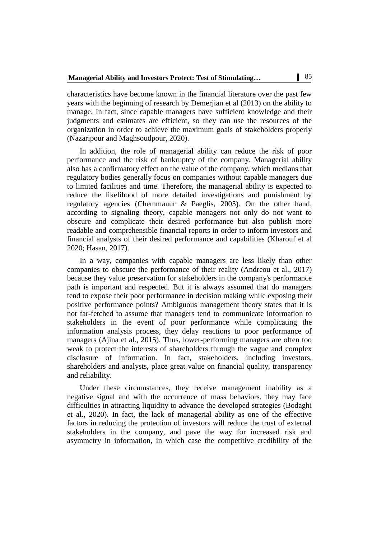characteristics have become known in the financial literature over the past few years with the beginning of research by Demerjian et al (2013) on the ability to manage. In fact, since capable managers have sufficient knowledge and their judgments and estimates are efficient, so they can use the resources of the organization in order to achieve the maximum goals of stakeholders properly (Nazaripour and Maghsoudpour, 2020).

In addition, the role of managerial ability can reduce the risk of poor performance and the risk of bankruptcy of the company. Managerial ability also has a confirmatory effect on the value of the company, which medians that regulatory bodies generally focus on companies without capable managers due to limited facilities and time. Therefore, the managerial ability is expected to reduce the likelihood of more detailed investigations and punishment by regulatory agencies (Chemmanur & Paeglis, 2005). On the other hand, according to signaling theory, capable managers not only do not want to obscure and complicate their desired performance but also publish more readable and comprehensible financial reports in order to inform investors and financial analysts of their desired performance and capabilities (Kharouf et al 2020; Hasan, 2017).

In a way, companies with capable managers are less likely than other companies to obscure the performance of their reality (Andreou et al., 2017) because they value preservation for stakeholders in the company's performance path is important and respected. But it is always assumed that do managers tend to expose their poor performance in decision making while exposing their positive performance points? Ambiguous management theory states that it is not far-fetched to assume that managers tend to communicate information to stakeholders in the event of poor performance while complicating the information analysis process, they delay reactions to poor performance of managers (Ajina et al., 2015). Thus, lower-performing managers are often too weak to protect the interests of shareholders through the vague and complex disclosure of information. In fact, stakeholders, including investors, shareholders and analysts, place great value on financial quality, transparency and reliability.

Under these circumstances, they receive management inability as a negative signal and with the occurrence of mass behaviors, they may face difficulties in attracting liquidity to advance the developed strategies (Bodaghi et al., 2020). In fact, the lack of managerial ability as one of the effective factors in reducing the protection of investors will reduce the trust of external stakeholders in the company, and pave the way for increased risk and asymmetry in information, in which case the competitive credibility of the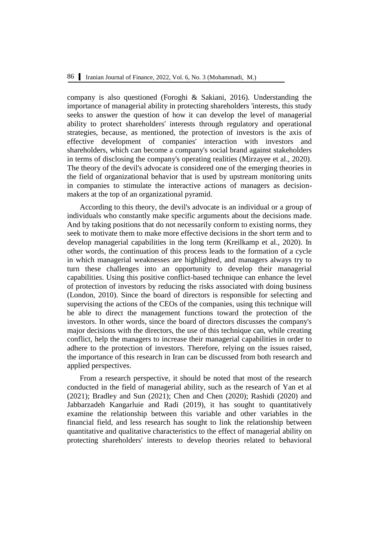company is also questioned (Foroghi & Sakiani, 2016). Understanding the importance of managerial ability in protecting shareholders 'interests, this study seeks to answer the question of how it can develop the level of managerial ability to protect shareholders' interests through regulatory and operational strategies, because, as mentioned, the protection of investors is the axis of effective development of companies' interaction with investors and shareholders, which can become a company's social brand against stakeholders in terms of disclosing the company's operating realities (Mirzayee et al., 2020). The theory of the devil's advocate is considered one of the emerging theories in the field of organizational behavior that is used by upstream monitoring units in companies to stimulate the interactive actions of managers as decisionmakers at the top of an organizational pyramid.

According to this theory, the devil's advocate is an individual or a group of individuals who constantly make specific arguments about the decisions made. And by taking positions that do not necessarily conform to existing norms, they seek to motivate them to make more effective decisions in the short term and to develop managerial capabilities in the long term (Kreilkamp et al., 2020). In other words, the continuation of this process leads to the formation of a cycle in which managerial weaknesses are highlighted, and managers always try to turn these challenges into an opportunity to develop their managerial capabilities. Using this positive conflict-based technique can enhance the level of protection of investors by reducing the risks associated with doing business (London, 2010). Since the board of directors is responsible for selecting and supervising the actions of the CEOs of the companies, using this technique will be able to direct the management functions toward the protection of the investors. In other words, since the board of directors discusses the company's major decisions with the directors, the use of this technique can, while creating conflict, help the managers to increase their managerial capabilities in order to adhere to the protection of investors. Therefore, relying on the issues raised, the importance of this research in Iran can be discussed from both research and applied perspectives.

From a research perspective, it should be noted that most of the research conducted in the field of managerial ability, such as the research of Yan et al (2021); Bradley and Sun (2021); Chen and Chen (2020); Rashidi (2020) and Jabbarzadeh Kangarluie and Radi (2019), it has sought to quantitatively examine the relationship between this variable and other variables in the financial field, and less research has sought to link the relationship between quantitative and qualitative characteristics to the effect of managerial ability on protecting shareholders' interests to develop theories related to behavioral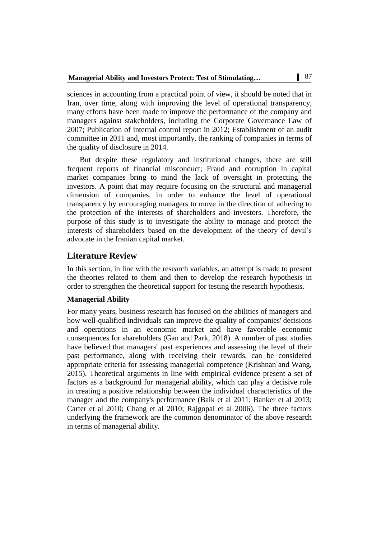sciences in accounting from a practical point of view, it should be noted that in Iran, over time, along with improving the level of operational transparency, many efforts have been made to improve the performance of the company and managers against stakeholders, including the Corporate Governance Law of 2007; Publication of internal control report in 2012; Establishment of an audit committee in 2011 and, most importantly, the ranking of companies in terms of the quality of disclosure in 2014.

But despite these regulatory and institutional changes, there are still frequent reports of financial misconduct; Fraud and corruption in capital market companies bring to mind the lack of oversight in protecting the investors. A point that may require focusing on the structural and managerial dimension of companies, in order to enhance the level of operational transparency by encouraging managers to move in the direction of adhering to the protection of the interests of shareholders and investors. Therefore, the purpose of this study is to investigate the ability to manage and protect the interests of shareholders based on the development of the theory of devil's advocate in the Iranian capital market.

### **Literature Review**

In this section, in line with the research variables, an attempt is made to present the theories related to them and then to develop the research hypothesis in order to strengthen the theoretical support for testing the research hypothesis.

### **Managerial Ability**

For many years, business research has focused on the abilities of managers and how well-qualified individuals can improve the quality of companies' decisions and operations in an economic market and have favorable economic consequences for shareholders (Gan and Park, 2018). A number of past studies have believed that managers' past experiences and assessing the level of their past performance, along with receiving their rewards, can be considered appropriate criteria for assessing managerial competence (Krishnan and Wang, 2015). Theoretical arguments in line with empirical evidence present a set of factors as a background for managerial ability, which can play a decisive role in creating a positive relationship between the individual characteristics of the manager and the company's performance (Baik et al 2011; Banker et al 2013; Carter et al 2010; Chang et al 2010; Rajgopal et al 2006). The three factors underlying the framework are the common denominator of the above research in terms of managerial ability.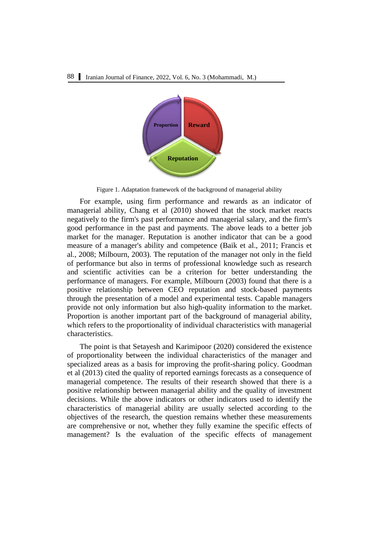

Figure 1. Adaptation framework of the background of managerial ability

For example, using firm performance and rewards as an indicator of managerial ability, Chang et al (2010) showed that the stock market reacts negatively to the firm's past performance and managerial salary, and the firm's good performance in the past and payments. The above leads to a better job market for the manager. Reputation is another indicator that can be a good measure of a manager's ability and competence (Baik et al., 2011; Francis et al., 2008; Milbourn, 2003). The reputation of the manager not only in the field of performance but also in terms of professional knowledge such as research and scientific activities can be a criterion for better understanding the performance of managers. For example, Milbourn (2003) found that there is a positive relationship between CEO reputation and stock-based payments through the presentation of a model and experimental tests. Capable managers provide not only information but also high-quality information to the market. Proportion is another important part of the background of managerial ability, which refers to the proportionality of individual characteristics with managerial characteristics.

The point is that Setayesh and Karimipoor (2020) considered the existence of proportionality between the individual characteristics of the manager and specialized areas as a basis for improving the profit-sharing policy. Goodman et al (2013) cited the quality of reported earnings forecasts as a consequence of managerial competence. The results of their research showed that there is a positive relationship between managerial ability and the quality of investment decisions. While the above indicators or other indicators used to identify the characteristics of managerial ability are usually selected according to the objectives of the research, the question remains whether these measurements are comprehensive or not, whether they fully examine the specific effects of management? Is the evaluation of the specific effects of management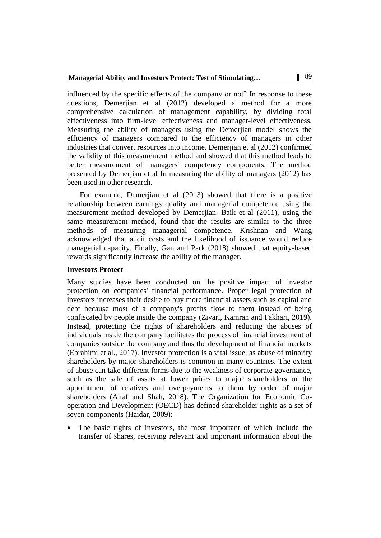influenced by the specific effects of the company or not? In response to these questions, Demerjian et al (2012) developed a method for a more comprehensive calculation of management capability, by dividing total effectiveness into firm-level effectiveness and manager-level effectiveness. Measuring the ability of managers using the Demerjian model shows the efficiency of managers compared to the efficiency of managers in other industries that convert resources into income. Demerjian et al (2012) confirmed the validity of this measurement method and showed that this method leads to better measurement of managers' competency components. The method presented by Demerjian et al In measuring the ability of managers (2012) has been used in other research.

For example, Demerjian et al (2013) showed that there is a positive relationship between earnings quality and managerial competence using the measurement method developed by Demerjian. Baik et al (2011), using the same measurement method, found that the results are similar to the three methods of measuring managerial competence. Krishnan and Wang acknowledged that audit costs and the likelihood of issuance would reduce managerial capacity. Finally, Gan and Park (2018) showed that equity-based rewards significantly increase the ability of the manager.

### **Investors Protect**

Many studies have been conducted on the positive impact of investor protection on companies' financial performance. Proper legal protection of investors increases their desire to buy more financial assets such as capital and debt because most of a company's profits flow to them instead of being confiscated by people inside the company (Zivari, Kamran and Fakhari, 2019). Instead, protecting the rights of shareholders and reducing the abuses of individuals inside the company facilitates the process of financial investment of companies outside the company and thus the development of financial markets (Ebrahimi et al., 2017). Investor protection is a vital issue, as abuse of minority shareholders by major shareholders is common in many countries. The extent of abuse can take different forms due to the weakness of corporate governance, such as the sale of assets at lower prices to major shareholders or the appointment of relatives and overpayments to them by order of major shareholders (Altaf and Shah, 2018). The Organization for Economic Cooperation and Development (OECD) has defined shareholder rights as a set of seven components (Haidar, 2009):

 The basic rights of investors, the most important of which include the transfer of shares, receiving relevant and important information about the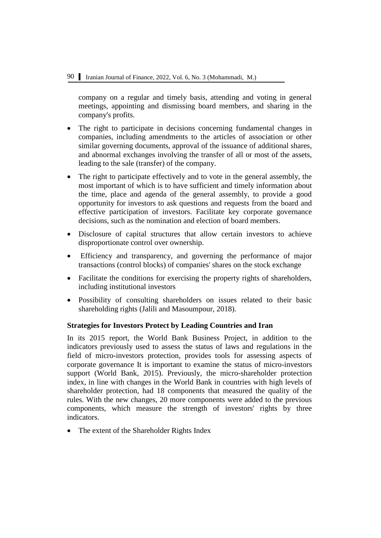company on a regular and timely basis, attending and voting in general meetings, appointing and dismissing board members, and sharing in the company's profits.

- The right to participate in decisions concerning fundamental changes in companies, including amendments to the articles of association or other similar governing documents, approval of the issuance of additional shares, and abnormal exchanges involving the transfer of all or most of the assets, leading to the sale (transfer) of the company.
- The right to participate effectively and to vote in the general assembly, the most important of which is to have sufficient and timely information about the time, place and agenda of the general assembly, to provide a good opportunity for investors to ask questions and requests from the board and effective participation of investors. Facilitate key corporate governance decisions, such as the nomination and election of board members.
- Disclosure of capital structures that allow certain investors to achieve disproportionate control over ownership.
- Efficiency and transparency, and governing the performance of major transactions (control blocks) of companies' shares on the stock exchange
- Facilitate the conditions for exercising the property rights of shareholders, including institutional investors
- Possibility of consulting shareholders on issues related to their basic shareholding rights (Jalili and Masoumpour, 2018).

### **Strategies for Investors Protect by Leading Countries and Iran**

In its 2015 report, the World Bank Business Project, in addition to the indicators previously used to assess the status of laws and regulations in the field of micro-investors protection, provides tools for assessing aspects of corporate governance It is important to examine the status of micro-investors support (World Bank, 2015). Previously, the micro-shareholder protection index, in line with changes in the World Bank in countries with high levels of shareholder protection, had 18 components that measured the quality of the rules. With the new changes, 20 more components were added to the previous components, which measure the strength of investors' rights by three indicators.

• The extent of the Shareholder Rights Index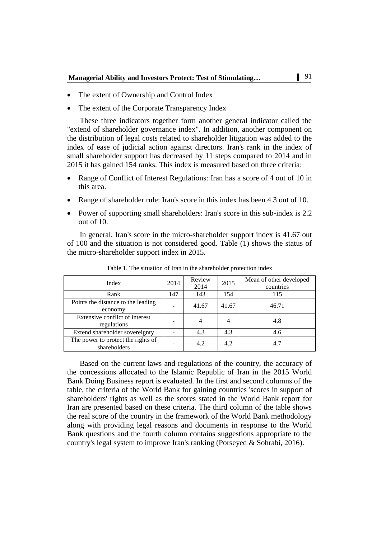- The extent of Ownership and Control Index
- The extent of the Corporate Transparency Index

These three indicators together form another general indicator called the "extend of shareholder governance index". In addition, another component on the distribution of legal costs related to shareholder litigation was added to the index of ease of judicial action against directors. Iran's rank in the index of small shareholder support has decreased by 11 steps compared to 2014 and in 2015 it has gained 154 ranks. This index is measured based on three criteria:

- Range of Conflict of Interest Regulations: Iran has a score of 4 out of 10 in this area.
- Range of shareholder rule: Iran's score in this index has been 4.3 out of 10.
- Power of supporting small shareholders: Iran's score in this sub-index is 2.2 out of 10.

In general, Iran's score in the micro-shareholder support index is 41.67 out of 100 and the situation is not considered good. Table (1) shows the status of the micro-shareholder support index in 2015.

| Index                                              | 2014                     | Review<br>2014 | 2015           | Mean of other developed<br>countries |
|----------------------------------------------------|--------------------------|----------------|----------------|--------------------------------------|
| Rank                                               | 147                      | 143            | 154            | 115                                  |
| Points the distance to the leading<br>economy      | $\,$                     | 41.67          | 41.67          | 46.71                                |
| Extensive conflict of interest<br>regulations      | $\overline{\phantom{0}}$ | 4              | $\overline{4}$ | 4.8                                  |
| Extend shareholder sovereignty                     |                          | 4.3            | 4.3            | 4.6                                  |
| The power to protect the rights of<br>shareholders | $\overline{\phantom{0}}$ | 4.2            | 4.2            | 4.7                                  |

Table 1. The situation of Iran in the shareholder protection index

Based on the current laws and regulations of the country, the accuracy of the concessions allocated to the Islamic Republic of Iran in the 2015 World Bank Doing Business report is evaluated. In the first and second columns of the table, the criteria of the World Bank for gaining countries 'scores in support of shareholders' rights as well as the scores stated in the World Bank report for Iran are presented based on these criteria. The third column of the table shows the real score of the country in the framework of the World Bank methodology along with providing legal reasons and documents in response to the World Bank questions and the fourth column contains suggestions appropriate to the country's legal system to improve Iran's ranking (Porseyed & Sohrabi, 2016).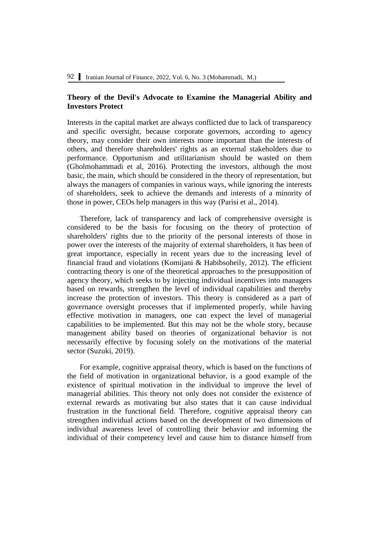### **Theory of the Devil's Advocate to Examine the Managerial Ability and Investors Protect**

Interests in the capital market are always conflicted due to lack of transparency and specific oversight, because corporate governors, according to agency theory, may consider their own interests more important than the interests of others, and therefore shareholders' rights as an external stakeholders due to performance. Opportunism and utilitarianism should be wasted on them (Gholmohammadi et al, 2016). Protecting the investors, although the most basic, the main, which should be considered in the theory of representation, but always the managers of companies in various ways, while ignoring the interests of shareholders, seek to achieve the demands and interests of a minority of those in power, CEOs help managers in this way (Parisi et al., 2014).

Therefore, lack of transparency and lack of comprehensive oversight is considered to be the basis for focusing on the theory of protection of shareholders' rights due to the priority of the personal interests of those in power over the interests of the majority of external shareholders, it has been of great importance, especially in recent years due to the increasing level of financial fraud and violations (Komijani & Habibsoheily, 2012). The efficient contracting theory is one of the theoretical approaches to the presupposition of agency theory, which seeks to by injecting individual incentives into managers based on rewards, strengthen the level of individual capabilities and thereby increase the protection of investors. This theory is considered as a part of governance oversight processes that if implemented properly, while having effective motivation in managers, one can expect the level of managerial capabilities to be implemented. But this may not be the whole story, because management ability based on theories of organizational behavior is not necessarily effective by focusing solely on the motivations of the material sector (Suzuki, 2019).

For example, cognitive appraisal theory, which is based on the functions of the field of motivation in organizational behavior, is a good example of the existence of spiritual motivation in the individual to improve the level of managerial abilities. This theory not only does not consider the existence of external rewards as motivating but also states that it can cause individual frustration in the functional field. Therefore, cognitive appraisal theory can strengthen individual actions based on the development of two dimensions of individual awareness level of controlling their behavior and informing the individual of their competency level and cause him to distance himself from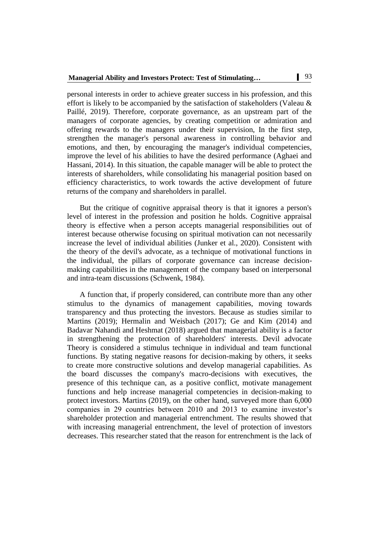personal interests in order to achieve greater success in his profession, and this effort is likely to be accompanied by the satisfaction of stakeholders (Valeau & Paillé, 2019). Therefore, corporate governance, as an upstream part of the managers of corporate agencies, by creating competition or admiration and offering rewards to the managers under their supervision, In the first step, strengthen the manager's personal awareness in controlling behavior and emotions, and then, by encouraging the manager's individual competencies, improve the level of his abilities to have the desired performance (Aghaei and Hassani, 2014). In this situation, the capable manager will be able to protect the interests of shareholders, while consolidating his managerial position based on efficiency characteristics, to work towards the active development of future returns of the company and shareholders in parallel.

But the critique of cognitive appraisal theory is that it ignores a person's level of interest in the profession and position he holds. Cognitive appraisal theory is effective when a person accepts managerial responsibilities out of interest because otherwise focusing on spiritual motivation can not necessarily increase the level of individual abilities (Junker et al., 2020). Consistent with the theory of the devil's advocate, as a technique of motivational functions in the individual, the pillars of corporate governance can increase decisionmaking capabilities in the management of the company based on interpersonal and intra-team discussions (Schwenk, 1984).

A function that, if properly considered, can contribute more than any other stimulus to the dynamics of management capabilities, moving towards transparency and thus protecting the investors. Because as studies similar to Martins (2019); Hermalin and Weisbach (2017); Ge and Kim (2014) and Badavar Nahandi and Heshmat (2018) argued that managerial ability is a factor in strengthening the protection of shareholders' interests. Devil advocate Theory is considered a stimulus technique in individual and team functional functions. By stating negative reasons for decision-making by others, it seeks to create more constructive solutions and develop managerial capabilities. As the board discusses the company's macro-decisions with executives, the presence of this technique can, as a positive conflict, motivate management functions and help increase managerial competencies in decision-making to protect investors. Martins (2019), on the other hand, surveyed more than 6,000 companies in 29 countries between 2010 and 2013 to examine investor's shareholder protection and managerial entrenchment. The results showed that with increasing managerial entrenchment, the level of protection of investors decreases. This researcher stated that the reason for entrenchment is the lack of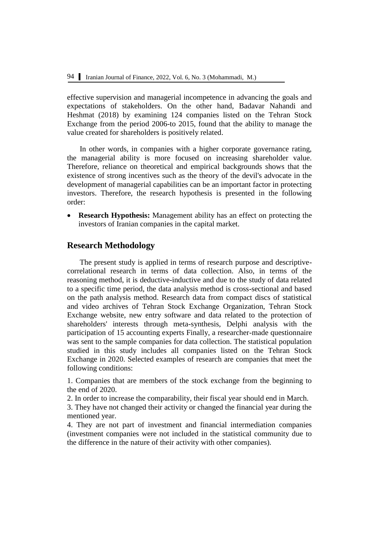effective supervision and managerial incompetence in advancing the goals and expectations of stakeholders. On the other hand, Badavar Nahandi and Heshmat (2018) by examining 124 companies listed on the Tehran Stock Exchange from the period 2006-to 2015, found that the ability to manage the value created for shareholders is positively related.

In other words, in companies with a higher corporate governance rating, the managerial ability is more focused on increasing shareholder value. Therefore, reliance on theoretical and empirical backgrounds shows that the existence of strong incentives such as the theory of the devil's advocate in the development of managerial capabilities can be an important factor in protecting investors. Therefore, the research hypothesis is presented in the following order:

 **Research Hypothesis:** Management ability has an effect on protecting the investors of Iranian companies in the capital market.

### **Research Methodology**

The present study is applied in terms of research purpose and descriptivecorrelational research in terms of data collection. Also, in terms of the reasoning method, it is deductive-inductive and due to the study of data related to a specific time period, the data analysis method is cross-sectional and based on the path analysis method. Research data from compact discs of statistical and video archives of Tehran Stock Exchange Organization, Tehran Stock Exchange website, new entry software and data related to the protection of shareholders' interests through meta-synthesis, Delphi analysis with the participation of 15 accounting experts Finally, a researcher-made questionnaire was sent to the sample companies for data collection. The statistical population studied in this study includes all companies listed on the Tehran Stock Exchange in 2020. Selected examples of research are companies that meet the following conditions:

1. Companies that are members of the stock exchange from the beginning to the end of 2020.

2. In order to increase the comparability, their fiscal year should end in March.

3. They have not changed their activity or changed the financial year during the mentioned year.

4. They are not part of investment and financial intermediation companies (investment companies were not included in the statistical community due to the difference in the nature of their activity with other companies).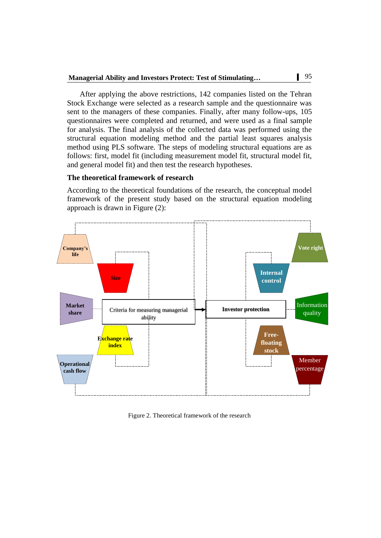After applying the above restrictions, 142 companies listed on the Tehran Stock Exchange were selected as a research sample and the questionnaire was sent to the managers of these companies. Finally, after many follow-ups, 105 questionnaires were completed and returned, and were used as a final sample for analysis. The final analysis of the collected data was performed using the structural equation modeling method and the partial least squares analysis method using PLS software. The steps of modeling structural equations are as follows: first, model fit (including measurement model fit, structural model fit, and general model fit) and then test the research hypotheses.

#### **The theoretical framework of research**

According to the theoretical foundations of the research, the conceptual model framework of the present study based on the structural equation modeling approach is drawn in Figure (2):



Figure 2. Theoretical framework of the research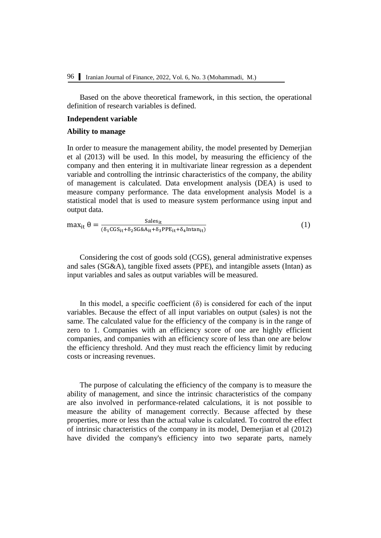Based on the above theoretical framework, in this section, the operational definition of research variables is defined.

#### **Independent variable**

### **Ability to manage**

In order to measure the management ability, the model presented by Demerjian et al (2013) will be used. In this model, by measuring the efficiency of the company and then entering it in multivariate linear regression as a dependent variable and controlling the intrinsic characteristics of the company, the ability of management is calculated. Data envelopment analysis (DEA) is used to measure company performance. The data envelopment analysis Model is a statistical model that is used to measure system performance using input and output data.

$$
\max_{it} \theta = \frac{\text{Sales}_{it}}{(\delta_1 \text{CGS}_{it} + \delta_2 \text{SG&A}_{it} + \delta_3 \text{PPE}_{it} + \delta_4 \text{Intan}_{it})}
$$
(1)

Considering the cost of goods sold (CGS), general administrative expenses and sales (SG&A), tangible fixed assets (PPE), and intangible assets (Intan) as input variables and sales as output variables will be measured.

In this model, a specific coefficient  $(\delta)$  is considered for each of the input variables. Because the effect of all input variables on output (sales) is not the same. The calculated value for the efficiency of the company is in the range of zero to 1. Companies with an efficiency score of one are highly efficient companies, and companies with an efficiency score of less than one are below the efficiency threshold. And they must reach the efficiency limit by reducing costs or increasing revenues.

The purpose of calculating the efficiency of the company is to measure the ability of management, and since the intrinsic characteristics of the company are also involved in performance-related calculations, it is not possible to measure the ability of management correctly. Because affected by these properties, more or less than the actual value is calculated. To control the effect of intrinsic characteristics of the company in its model, Demerjian et al (2012) have divided the company's efficiency into two separate parts, namely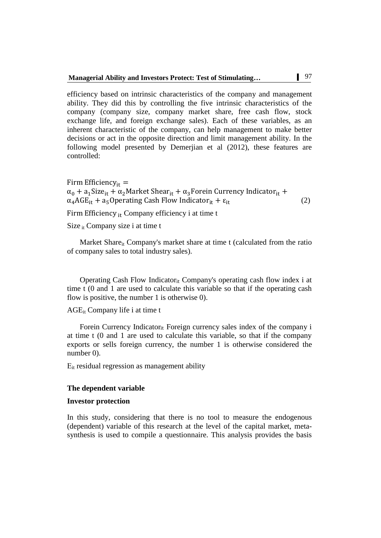efficiency based on intrinsic characteristics of the company and management ability. They did this by controlling the five intrinsic characteristics of the company (company size, company market share, free cash flow, stock exchange life, and foreign exchange sales). Each of these variables, as an inherent characteristic of the company, can help management to make better decisions or act in the opposite direction and limit management ability. In the following model presented by Demerjian et al (2012), these features are controlled:

Firm Efficiency<sub>it</sub> =  $\alpha_0 + a_1$ Size<sub>it</sub> +  $\alpha_2$ Market Shear<sub>it</sub> +  $\alpha_3$ Forein Currency Indicator<sub>it</sub> +  $\alpha_4 AGE_{it} + a_5$ Operating Cash Flow Indicator<sub>it</sub> +  $\varepsilon_{it}$  (2)

Firm Efficiency i<sub>t</sub> Company efficiency i at time t

Size  $_{it}$  Company size i at time t

Market Share<sub>it</sub> Company's market share at time  $t$  (calculated from the ratio of company sales to total industry sales).

Operating Cash Flow Indicatorit Company's operating cash flow index i at time t (0 and 1 are used to calculate this variable so that if the operating cash flow is positive, the number 1 is otherwise 0).

AGEit Company life i at time t

Forein Currency Indicator<sub>it</sub> Foreign currency sales index of the company i at time t (0 and 1 are used to calculate this variable, so that if the company exports or sells foreign currency, the number 1 is otherwise considered the number 0).

Εit residual regression as management ability

#### **The dependent variable**

#### **Investor protection**

In this study, considering that there is no tool to measure the endogenous (dependent) variable of this research at the level of the capital market, metasynthesis is used to compile a questionnaire. This analysis provides the basis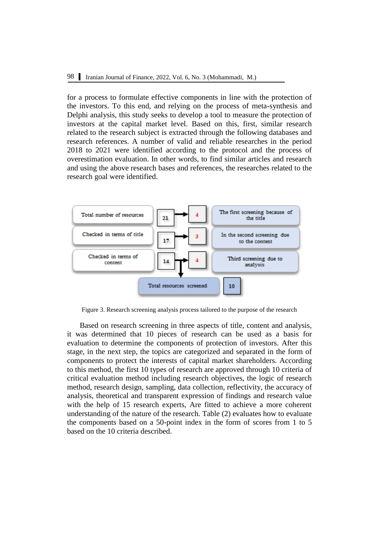for a process to formulate effective components in line with the protection of the investors. To this end, and relying on the process of meta-synthesis and Delphi analysis, this study seeks to develop a tool to measure the protection of investors at the capital market level. Based on this, first, similar research related to the research subject is extracted through the following databases and research references. A number of valid and reliable researches in the period 2018 to 2021 were identified according to the protocol and the process of overestimation evaluation. In other words, to find similar articles and research and using the above research bases and references, the researches related to the research goal were identified.



Figure 3. Research screening analysis process tailored to the purpose of the research

Based on research screening in three aspects of title, content and analysis, it was determined that 10 pieces of research can be used as a basis for evaluation to determine the components of protection of investors. After this stage, in the next step, the topics are categorized and separated in the form of components to protect the interests of capital market shareholders. According to this method, the first 10 types of research are approved through 10 criteria of critical evaluation method including research objectives, the logic of research method, research design, sampling, data collection, reflectivity, the accuracy of analysis, theoretical and transparent expression of findings and research value with the help of 15 research experts, Are fitted to achieve a more coherent understanding of the nature of the research. Table (2) evaluates how to evaluate the components based on a 50-point index in the form of scores from 1 to 5 based on the 10 criteria described.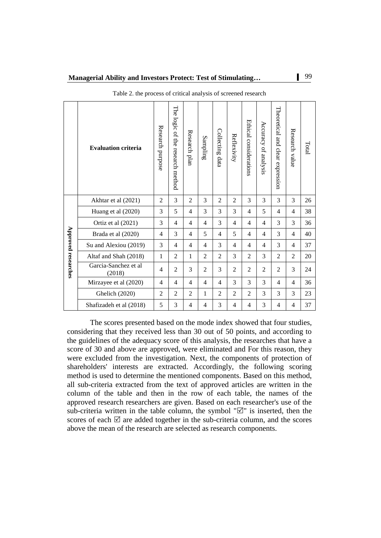|                     | <b>Evaluation criteria</b>     | Research purpose | The logic<br>of the research method | Research plan  | Sampling       | Collecting data | Reflexivity    | Ethical considerations | Accuracy<br>of analysis  | Theoretical and clear expression | Research value | Total |
|---------------------|--------------------------------|------------------|-------------------------------------|----------------|----------------|-----------------|----------------|------------------------|--------------------------|----------------------------------|----------------|-------|
|                     | Akhtar et al (2021)            | 2                | 3                                   | $\overline{2}$ | 3              | $\overline{2}$  | $\overline{2}$ | 3                      | 3                        | 3                                | 3              | 26    |
|                     | Huang et al (2020)             | 3                | 5                                   | $\overline{4}$ | 3              | 3               | 3              | $\overline{4}$         | 5                        | 4                                | $\overline{4}$ | 38    |
|                     | Ortiz et al (2021)             | 3                | 4                                   | $\overline{4}$ | 4              | 3               | 4              | $\overline{4}$         | $\overline{\mathcal{L}}$ | 3                                | 3              | 36    |
|                     | Brada et al (2020)             | $\overline{4}$   | 3                                   | $\overline{4}$ | 5              | $\overline{4}$  | 5              | $\overline{4}$         | $\overline{4}$           | 3                                | $\overline{4}$ | 40    |
|                     | Su and Alexiou (2019)          | 3                | 4                                   | $\overline{4}$ | 4              | 3               | 4              | $\overline{4}$         | 4                        | 3                                | $\overline{4}$ | 37    |
|                     | Altaf and Shah (2018)          | 1                | $\overline{c}$                      | 1              | $\overline{2}$ | $\overline{2}$  | 3              | $\overline{2}$         | 3                        | $\overline{2}$                   | $\overline{2}$ | 20    |
| Approved researches | Garcia-Sanchez et al<br>(2018) | 4                | $\overline{2}$                      | 3              | 2              | 3               | $\overline{c}$ | $\overline{2}$         | $\overline{2}$           | $\overline{2}$                   | 3              | 24    |
|                     | Mirzayee et al (2020)          | 4                | 4                                   | 4              | 4              | 4               | 3              | 3                      | 3                        | 4                                | 4              | 36    |
|                     | Ghelich (2020)                 | 2                | $\overline{2}$                      | $\overline{2}$ | 1              | $\overline{c}$  | $\overline{2}$ | $\mathfrak{D}$         | 3                        | 3                                | 3              | 23    |
|                     | Shafizadeh et al (2018)        | 5                | 3                                   | 4              | 4              | 3               | 4              | 4                      | 3                        | 4                                | 4              | 37    |

Table 2. the process of critical analysis of screened research

The scores presented based on the mode index showed that four studies, considering that they received less than 30 out of 50 points, and according to the guidelines of the adequacy score of this analysis, the researches that have a score of 30 and above are approved, were eliminated and For this reason, they were excluded from the investigation. Next, the components of protection of shareholders' interests are extracted. Accordingly, the following scoring method is used to determine the mentioned components. Based on this method, all sub-criteria extracted from the text of approved articles are written in the column of the table and then in the row of each table, the names of the approved research researchers are given. Based on each researcher's use of the sub-criteria written in the table column, the symbol " $\mathbb{Z}$ " is inserted, then the scores of each  $\boxtimes$  are added together in the sub-criteria column, and the scores above the mean of the research are selected as research components.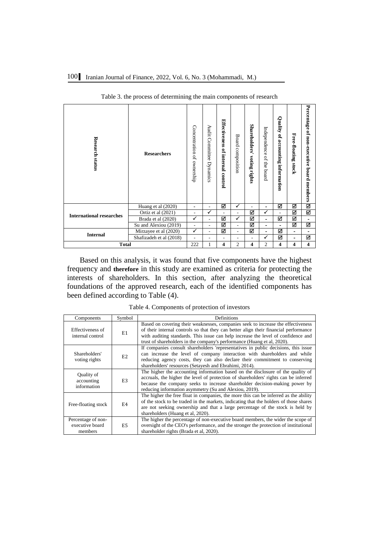| <b>Research status</b>          | <b>Researchers</b>      | Concentration of ownership | Audit Committee<br>Dynamics | Effectiveness of internal control | <b>Board composition</b> | Shareholders'<br>voting rights | Independence of the board | Quality of accounting information | Free-floating stock      | Percentage of non-executive board members |
|---------------------------------|-------------------------|----------------------------|-----------------------------|-----------------------------------|--------------------------|--------------------------------|---------------------------|-----------------------------------|--------------------------|-------------------------------------------|
|                                 | Huang et al (2020)      | $\blacksquare$             | ۰                           | ☑                                 | ✓                        |                                | -                         | ☑                                 | ☑                        | ☑                                         |
| <b>International researches</b> | Ortiz et al $(2021)$    | ۰                          | ✓                           | L,                                | $\blacksquare$           | ☑                              | ✓                         | ÷.                                | ☑                        | ☑                                         |
|                                 | Brada et al (2020)      | $\checkmark$               | $\overline{\phantom{0}}$    | ☑                                 | $\checkmark$             | ☑                              | $\overline{\phantom{0}}$  | ☑                                 | ☑                        | ٠                                         |
|                                 | Su and Alexiou (2019)   | $\blacksquare$             | L.                          | М                                 | $\blacksquare$           | ☑                              | $\overline{\phantom{0}}$  | $\overline{\phantom{0}}$          | ☑                        | ☑                                         |
| <b>Internal</b>                 | Mirzayee et al (2020)   | ✓                          |                             | м                                 | $\blacksquare$           | ☑                              | $\overline{\phantom{0}}$  | ☑                                 | $\overline{\phantom{a}}$ | ٠                                         |
|                                 | Shafizadeh et al (2018) |                            | ۰                           | ۰                                 | ٠                        | $\blacksquare$                 | ✓                         | ☑                                 | ۰                        | ☑                                         |
| <b>Total</b>                    |                         |                            | 1                           | 4                                 | 2                        | 4                              | 2                         | 4                                 | 4                        | $\overline{\mathbf{4}}$                   |

Table 3. the process of determining the main components of research

Based on this analysis, it was found that five components have the highest frequency and **therefore** in this study are examined as criteria for protecting the interests of shareholders. In this section, after analyzing the theoretical foundations of the approved research, each of the identified components has been defined according to Table (4).

Table 4. Components of protection of investors

| Components                                       | Symbol         | Definitions                                                                                                                                                                                                                                                                                                                              |
|--------------------------------------------------|----------------|------------------------------------------------------------------------------------------------------------------------------------------------------------------------------------------------------------------------------------------------------------------------------------------------------------------------------------------|
| Effectiveness of<br>internal control             | E1             | Based on covering their weaknesses, companies seek to increase the effectiveness<br>of their internal controls so that they can better align their financial performance<br>with auditing standards. This issue can help increase the level of confidence and<br>trust of shareholders in the company's performance (Huang et al, 2020). |
| Shareholders'<br>voting rights                   | E <sub>2</sub> | If companies consult shareholders 'representatives in public decisions, this issue<br>can increase the level of company interaction with shareholders and while<br>reducing agency costs, they can also declare their commitment to conserving<br>shareholders' resources (Setayesh and Ebrahimi, 2014).                                 |
| Quality of<br>accounting<br>information          | E <sub>3</sub> | The higher the accounting information based on the disclosure of the quality of<br>accruals, the higher the level of protection of shareholders' rights can be inferred<br>because the company seeks to increase shareholder decision-making power by<br>reducing information asymmetry (Su and Alexiou, 2019).                          |
| Free-floating stock                              | E4             | The higher the free float in companies, the more this can be inferred as the ability<br>of the stock to be traded in the markets, indicating that the holders of those shares<br>are not seeking ownership and that a large percentage of the stock is held by<br>shareholders (Huang et al. 2020).                                      |
| Percentage of non-<br>executive board<br>members | E5             | The higher the percentage of non-executive board members, the wider the scope of<br>oversight of the CEO's performance, and the stronger the protection of institutional<br>shareholder rights (Brada et al, 2020).                                                                                                                      |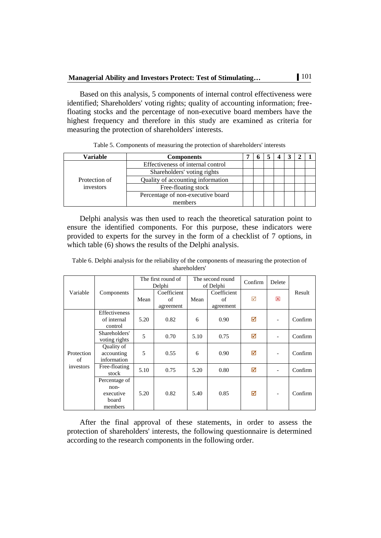Based on this analysis, 5 components of internal control effectiveness were identified; Shareholders' voting rights; quality of accounting information; freefloating stocks and the percentage of non-executive board members have the highest frequency and therefore in this study are examined as criteria for measuring the protection of shareholders' interests.

| Variable      | <b>Components</b>                 |  |  |  |  |
|---------------|-----------------------------------|--|--|--|--|
|               | Effectiveness of internal control |  |  |  |  |
|               | Shareholders' voting rights       |  |  |  |  |
| Protection of | Quality of accounting information |  |  |  |  |
| investors     | Free-floating stock               |  |  |  |  |
|               | Percentage of non-executive board |  |  |  |  |
|               | members                           |  |  |  |  |

Delphi analysis was then used to reach the theoretical saturation point to ensure the identified components. For this purpose, these indicators were provided to experts for the survey in the form of a checklist of 7 options, in which table (6) shows the results of the Delphi analysis.

|                  |                                                          |      | The first round of<br>Delphi   |      | The second round<br>of Delphi  |                 | Delete                   |         |
|------------------|----------------------------------------------------------|------|--------------------------------|------|--------------------------------|-----------------|--------------------------|---------|
| Variable         | Components                                               | Mean | Coefficient<br>of<br>agreement | Mean | Coefficient<br>of<br>agreement | $\triangledown$ | 区                        | Result  |
|                  | Effectiveness<br>of internal<br>control                  | 5.20 | 0.82                           | 6    | 0.90                           | ☑               | $\overline{\phantom{a}}$ | Confirm |
|                  | Shareholders'<br>voting rights                           | 5    | 0.70                           | 5.10 | 0.75                           | ☑               | $\overline{\phantom{a}}$ | Confirm |
| Protection<br>of | Quality of<br>accounting<br>information                  | 5    | 0.55                           | 6    | 0.90                           | ☑               |                          | Confirm |
| investors        | Free-floating<br>stock                                   | 5.10 | 0.75                           | 5.20 | 0.80                           | ☑               | $\overline{\phantom{a}}$ | Confirm |
|                  | Percentage of<br>$non-$<br>executive<br>board<br>members | 5.20 | 0.82                           | 5.40 | 0.85                           | ⊠               |                          | Confirm |

Table 6. Delphi analysis for the reliability of the components of measuring the protection of shareholders'

After the final approval of these statements, in order to assess the protection of shareholders' interests, the following questionnaire is determined according to the research components in the following order.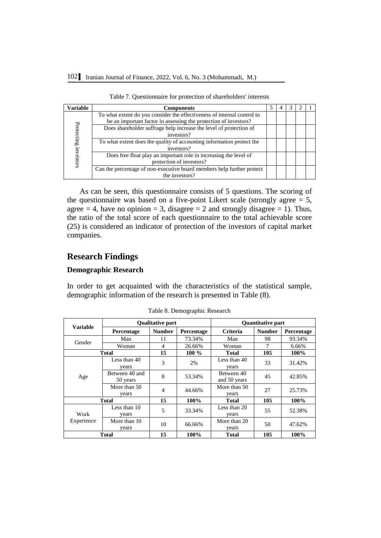| Variable   | <b>Components</b>                                                       |  |  |  |
|------------|-------------------------------------------------------------------------|--|--|--|
|            | To what extent do you consider the effectiveness of internal control to |  |  |  |
|            | be an important factor in assessing the protection of investors?        |  |  |  |
|            | Does shareholder suffrage help increase the level of protection of      |  |  |  |
|            | investors?                                                              |  |  |  |
| Protecting | To what extent does the quality of accounting information protect the   |  |  |  |
|            | investors?                                                              |  |  |  |
|            | Does free float play an important role in increasing the level of       |  |  |  |
| estors     | protection of investors?                                                |  |  |  |
|            | Can the percentage of non-executive board members help further protect  |  |  |  |
|            | the investors?                                                          |  |  |  |

| Table 7. Questionnaire for protection of shareholders' interests |  |  |  |
|------------------------------------------------------------------|--|--|--|
|------------------------------------------------------------------|--|--|--|

As can be seen, this questionnaire consists of 5 questions. The scoring of the questionnaire was based on a five-point Likert scale (strongly agree  $= 5$ , agree  $= 4$ , have no opinion  $= 3$ , disagree  $= 2$  and strongly disagree  $= 1$ ). Thus, the ratio of the total score of each questionnaire to the total achievable score (25) is considered an indicator of protection of the investors of capital market companies.

# **Research Findings**

### **Demographic Research**

In order to get acquainted with the characteristics of the statistical sample, demographic information of the research is presented in Table (8).

|                 |                            | <b>Oualitative part</b> |            |                            | <b>Quantitative part</b> |            |
|-----------------|----------------------------|-------------------------|------------|----------------------------|--------------------------|------------|
| <b>Variable</b> | Percentage                 | <b>Number</b>           | Percentage | <b>Criteria</b>            | <b>Number</b>            | Percentage |
|                 | Man                        | 11                      | 73.34%     | Man                        | 98                       | 93.34%     |
| Gender          | Woman                      | $\overline{4}$          | 26.66%     | Woman                      | 7                        | 6.66%      |
|                 | <b>Total</b>               | 15                      | $100\%$    | Total                      | 105                      | $100\%$    |
|                 | Less than 40<br>years      | 3                       | 2%         | Less than 40<br>years      | 33                       | 31.42%     |
| Age             | Between 40 and<br>50 years | 8                       | 53.34%     | Between 40<br>and 50 years | 45                       | 42.85%     |
|                 | More than 50<br>years      | $\overline{4}$          | 44.66%     | More than 50<br>vears      | 27                       | 25.73%     |
|                 | <b>Total</b>               | 15                      | 100%       | <b>Total</b>               | 105                      | $100\%$    |
| Work            | Less than 10<br>years      | 5                       | 33.34%     | Less than 20<br>years      | 55                       | 52.38%     |
| Experience      | More than 10<br>years      | 10                      | 66.66%     | More than 20<br>vears      | 50                       | 47.62%     |
|                 | <b>Total</b>               | 15                      | 100%       | Total                      | 105                      | 100%       |

Table 8. Demographic Research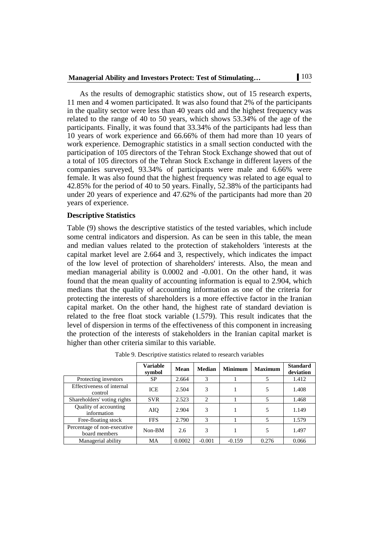As the results of demographic statistics show, out of 15 research experts, 11 men and 4 women participated. It was also found that 2% of the participants in the quality sector were less than 40 years old and the highest frequency was related to the range of 40 to 50 years, which shows 53.34% of the age of the participants. Finally, it was found that 33.34% of the participants had less than 10 years of work experience and 66.66% of them had more than 10 years of work experience. Demographic statistics in a small section conducted with the participation of 105 directors of the Tehran Stock Exchange showed that out of a total of 105 directors of the Tehran Stock Exchange in different layers of the companies surveyed, 93.34% of participants were male and 6.66% were female. It was also found that the highest frequency was related to age equal to 42.85% for the period of 40 to 50 years. Finally, 52.38% of the participants had under 20 years of experience and 47.62% of the participants had more than 20 years of experience.

#### **Descriptive Statistics**

Table (9) shows the descriptive statistics of the tested variables, which include some central indicators and dispersion. As can be seen in this table, the mean and median values related to the protection of stakeholders 'interests at the capital market level are 2.664 and 3, respectively, which indicates the impact of the low level of protection of shareholders' interests. Also, the mean and median managerial ability is 0.0002 and -0.001. On the other hand, it was found that the mean quality of accounting information is equal to 2.904, which medians that the quality of accounting information as one of the criteria for protecting the interests of shareholders is a more effective factor in the Iranian capital market. On the other hand, the highest rate of standard deviation is related to the free float stock variable (1.579). This result indicates that the level of dispersion in terms of the effectiveness of this component in increasing the protection of the interests of stakeholders in the Iranian capital market is higher than other criteria similar to this variable.

|                                              | <b>Variable</b><br>symbol | Mean   | <b>Median</b>  | <b>Minimum</b> | <b>Maximum</b> | <b>Standard</b><br>deviation |
|----------------------------------------------|---------------------------|--------|----------------|----------------|----------------|------------------------------|
| Protecting investors                         | SP                        | 2.664  | 3              |                | 5              | 1.412                        |
| Effectiveness of internal<br>control         | <b>ICE</b>                | 2.504  | 3              |                | 5              | 1.408                        |
| Shareholders' voting rights                  | <b>SVR</b>                | 2.523  | $\overline{c}$ |                | 5              | 1.468                        |
| <b>Ouality of accounting</b><br>information  | AIQ                       | 2.904  | 3              |                | 5              | 1.149                        |
| Free-floating stock                          | <b>FFS</b>                | 2.790  | 3              |                | 5              | 1.579                        |
| Percentage of non-executive<br>board members | Non-BM                    | 2.6    | 3              |                | 5              | 1.497                        |
| Managerial ability                           | MA                        | 0.0002 | $-0.001$       | $-0.159$       | 0.276          | 0.066                        |

Table 9. Descriptive statistics related to research variables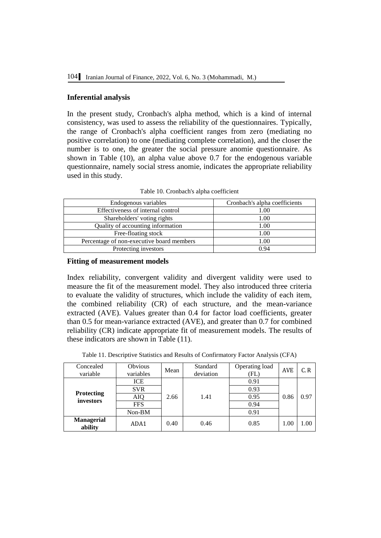### **Inferential analysis**

In the present study, Cronbach's alpha method, which is a kind of internal consistency, was used to assess the reliability of the questionnaires. Typically, the range of Cronbach's alpha coefficient ranges from zero (mediating no positive correlation) to one (mediating complete correlation), and the closer the number is to one, the greater the social pressure anomie questionnaire. As shown in Table (10), an alpha value above 0.7 for the endogenous variable questionnaire, namely social stress anomie, indicates the appropriate reliability used in this study.

| Endogenous variables                      | Cronbach's alpha coefficients |
|-------------------------------------------|-------------------------------|
| Effectiveness of internal control         | 1.00                          |
| Shareholders' voting rights               | 1.00                          |
| Quality of accounting information         | 1.00                          |
| Free-floating stock                       | 1.00                          |
| Percentage of non-executive board members | 1.00                          |
| Protecting investors                      | 0.94                          |

Table 10. Cronbach's alpha coefficient

#### **Fitting of measurement models**

Index reliability, convergent validity and divergent validity were used to measure the fit of the measurement model. They also introduced three criteria to evaluate the validity of structures, which include the validity of each item, the combined reliability (CR) of each structure, and the mean-variance extracted (AVE). Values greater than 0.4 for factor load coefficients, greater than 0.5 for mean-variance extracted (AVE), and greater than 0.7 for combined reliability (CR) indicate appropriate fit of measurement models. The results of these indicators are shown in Table (11).

|  | Table 11. Descriptive Statistics and Results of Confirmatory Factor Analysis (CFA) |
|--|------------------------------------------------------------------------------------|
|  |                                                                                    |

| Concealed<br>variable          | <b>Obvious</b><br>variables | Mean | Standard<br>deviation | Operating load<br>(FL) | <b>AVE</b> | C, R |
|--------------------------------|-----------------------------|------|-----------------------|------------------------|------------|------|
|                                | <b>ICE</b>                  |      |                       | 0.91                   |            |      |
|                                | <b>SVR</b>                  | 2.66 | 1.41                  | 0.93                   |            | 0.97 |
| <b>Protecting</b><br>investors | AIQ<br><b>FFS</b>           |      |                       | 0.95                   | 0.86       |      |
|                                |                             |      |                       | 0.94                   |            |      |
|                                | Non-BM                      |      | 0.91                  |                        |            |      |
| <b>Managerial</b><br>ability   | ADA1                        | 0.40 | 0.46                  | 0.85                   | 1.00       | 1.00 |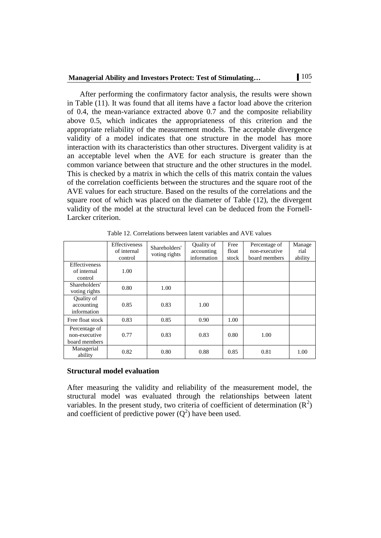After performing the confirmatory factor analysis, the results were shown in Table (11). It was found that all items have a factor load above the criterion of 0.4, the mean-variance extracted above 0.7 and the composite reliability above 0.5, which indicates the appropriateness of this criterion and the appropriate reliability of the measurement models. The acceptable divergence validity of a model indicates that one structure in the model has more interaction with its characteristics than other structures. Divergent validity is at an acceptable level when the AVE for each structure is greater than the common variance between that structure and the other structures in the model. This is checked by a matrix in which the cells of this matrix contain the values of the correlation coefficients between the structures and the square root of the AVE values for each structure. Based on the results of the correlations and the square root of which was placed on the diameter of Table (12), the divergent validity of the model at the structural level can be deduced from the Fornell-Larcker criterion.

|                                                 | Effectiveness<br>of internal<br>control | Shareholders'<br>voting rights | Quality of<br>accounting<br>information | Free<br>float<br>stock | Percentage of<br>non-executive<br>board members | Manage<br>rial<br>ability |
|-------------------------------------------------|-----------------------------------------|--------------------------------|-----------------------------------------|------------------------|-------------------------------------------------|---------------------------|
| <b>Effectiveness</b><br>of internal<br>control  | 1.00                                    |                                |                                         |                        |                                                 |                           |
| Shareholders'<br>voting rights                  | 0.80                                    | 1.00                           |                                         |                        |                                                 |                           |
| Quality of<br>accounting<br>information         | 0.85                                    | 0.83                           | 1.00                                    |                        |                                                 |                           |
| Free float stock                                | 0.83                                    | 0.85                           | 0.90                                    | 1.00                   |                                                 |                           |
| Percentage of<br>non-executive<br>board members | 0.77                                    | 0.83                           | 0.83                                    | 0.80                   | 1.00                                            |                           |
| Managerial<br>ability                           | 0.82                                    | 0.80                           | 0.88                                    | 0.85                   | 0.81                                            | 1.00                      |

Table 12. Correlations between latent variables and AVE values

#### **Structural model evaluation**

After measuring the validity and reliability of the measurement model, the structural model was evaluated through the relationships between latent variables. In the present study, two criteria of coefficient of determination  $(R^2)$ and coefficient of predictive power  $(Q^2)$  have been used.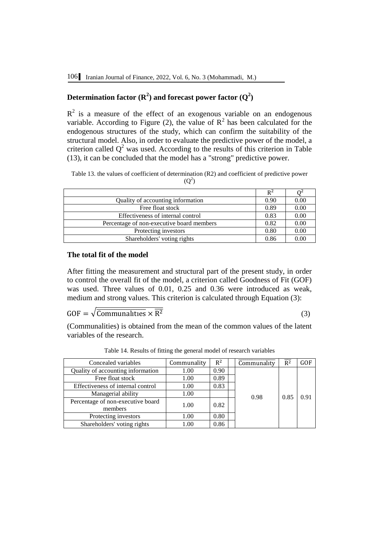# **Determination factor**  $(\mathbf{R}^2)$  **and forecast power factor**  $(\mathbf{Q}^2)$

 $R<sup>2</sup>$  is a measure of the effect of an exogenous variable on an endogenous variable. According to Figure (2), the value of  $R^2$  has been calculated for the endogenous structures of the study, which can confirm the suitability of the structural model. Also, in order to evaluate the predictive power of the model, a criterion called  $Q^2$  was used. According to the results of this criterion in Table (13), it can be concluded that the model has a "strong" predictive power.

Table 13. the values of coefficient of determination (R2) and coefficient of predictive power  $(Q^2)$ 

|                                           | $R^2$ |      |
|-------------------------------------------|-------|------|
| Quality of accounting information         |       | 0.00 |
| Free float stock                          | 0.89  | 0.00 |
| Effectiveness of internal control         | 0.83  | 0.00 |
| Percentage of non-executive board members | 0.82  | 0.00 |
| Protecting investors                      | 0.80  | 0.00 |
| Shareholders' voting rights               | 0.86  | 0.00 |

### **The total fit of the model**

After fitting the measurement and structural part of the present study, in order to control the overall fit of the model, a criterion called Goodness of Fit (GOF) was used. Three values of 0.01, 0.25 and 0.36 were introduced as weak, medium and strong values. This criterion is calculated through Equation (3):

 $GOF = \sqrt{\overline{Communalities} \times \overline{R^2}}$  (3)

(Communalities) is obtained from the mean of the common values of the latent variables of the research.

| Concealed variables                          | Communality | $R^2$ | Communality | $R^2$ | GOF  |
|----------------------------------------------|-------------|-------|-------------|-------|------|
| Quality of accounting information            | 1.00        | 0.90  |             |       |      |
| Free float stock                             | 1.00        | 0.89  |             |       |      |
| Effectiveness of internal control            | 1.00        | 0.83  |             |       |      |
| Managerial ability                           | 1.00        |       | 0.98        | 0.85  | 0.91 |
| Percentage of non-executive board<br>members | 1.00        | 0.82  |             |       |      |
| Protecting investors                         | 1.00        | 0.80  |             |       |      |
| Shareholders' voting rights                  | 1.00        | 0.86  |             |       |      |

Table 14. Results of fitting the general model of research variables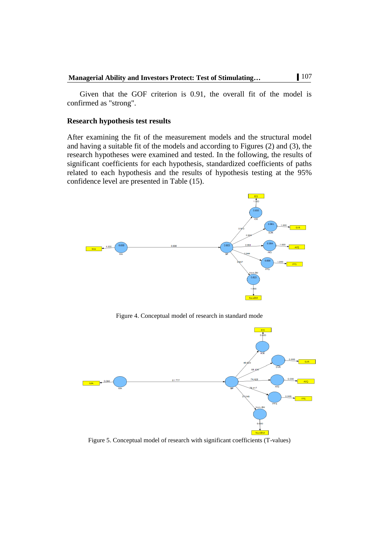Given that the GOF criterion is 0.91, the overall fit of the model is confirmed as "strong".

#### **Research hypothesis test results**

After examining the fit of the measurement models and the structural model and having a suitable fit of the models and according to Figures (2) and (3), the research hypotheses were examined and tested. In the following, the results of significant coefficients for each hypothesis, standardized coefficients of paths related to each hypothesis and the results of hypothesis testing at the 95% confidence level are presented in Table (15).



Figure 4. Conceptual model of research in standard mode



Figure 5. Conceptual model of research with significant coefficients (T-values)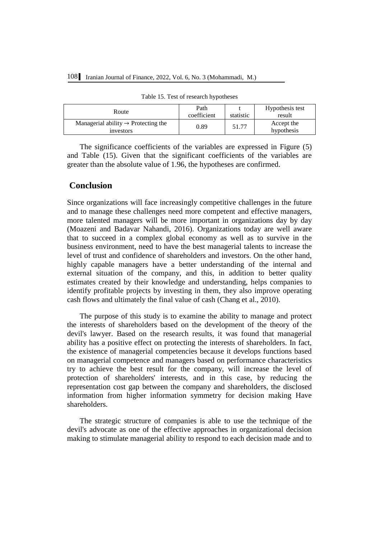| Route                                                        | Path<br>coefficient | statistic | Hypothesis test<br>result |
|--------------------------------------------------------------|---------------------|-----------|---------------------------|
| Managerial ability $\rightarrow$ Protecting the<br>investors | 0.89                | 51.77     | Accept the<br>hypothesis  |

Table 15. Test of research hypotheses

The significance coefficients of the variables are expressed in Figure (5) and Table (15). Given that the significant coefficients of the variables are greater than the absolute value of 1.96, the hypotheses are confirmed.

# **Conclusion**

Since organizations will face increasingly competitive challenges in the future and to manage these challenges need more competent and effective managers, more talented managers will be more important in organizations day by day (Moazeni and Badavar Nahandi, 2016). Organizations today are well aware that to succeed in a complex global economy as well as to survive in the business environment, need to have the best managerial talents to increase the level of trust and confidence of shareholders and investors. On the other hand, highly capable managers have a better understanding of the internal and external situation of the company, and this, in addition to better quality estimates created by their knowledge and understanding, helps companies to identify profitable projects by investing in them, they also improve operating cash flows and ultimately the final value of cash (Chang et al., 2010).

The purpose of this study is to examine the ability to manage and protect the interests of shareholders based on the development of the theory of the devil's lawyer. Based on the research results, it was found that managerial ability has a positive effect on protecting the interests of shareholders. In fact, the existence of managerial competencies because it develops functions based on managerial competence and managers based on performance characteristics try to achieve the best result for the company, will increase the level of protection of shareholders' interests, and in this case, by reducing the representation cost gap between the company and shareholders, the disclosed information from higher information symmetry for decision making Have shareholders.

The strategic structure of companies is able to use the technique of the devil's advocate as one of the effective approaches in organizational decision making to stimulate managerial ability to respond to each decision made and to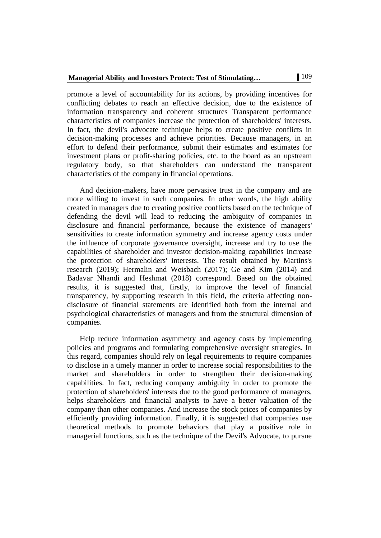promote a level of accountability for its actions, by providing incentives for conflicting debates to reach an effective decision, due to the existence of information transparency and coherent structures Transparent performance characteristics of companies increase the protection of shareholders' interests. In fact, the devil's advocate technique helps to create positive conflicts in decision-making processes and achieve priorities. Because managers, in an effort to defend their performance, submit their estimates and estimates for investment plans or profit-sharing policies, etc. to the board as an upstream regulatory body, so that shareholders can understand the transparent characteristics of the company in financial operations.

And decision-makers, have more pervasive trust in the company and are more willing to invest in such companies. In other words, the high ability created in managers due to creating positive conflicts based on the technique of defending the devil will lead to reducing the ambiguity of companies in disclosure and financial performance, because the existence of managers' sensitivities to create information symmetry and increase agency costs under the influence of corporate governance oversight, increase and try to use the capabilities of shareholder and investor decision-making capabilities Increase the protection of shareholders' interests. The result obtained by Martins's research (2019); Hermalin and Weisbach (2017); Ge and Kim (2014) and Badavar Nhandi and Heshmat (2018) correspond. Based on the obtained results, it is suggested that, firstly, to improve the level of financial transparency, by supporting research in this field, the criteria affecting nondisclosure of financial statements are identified both from the internal and psychological characteristics of managers and from the structural dimension of companies.

Help reduce information asymmetry and agency costs by implementing policies and programs and formulating comprehensive oversight strategies. In this regard, companies should rely on legal requirements to require companies to disclose in a timely manner in order to increase social responsibilities to the market and shareholders in order to strengthen their decision-making capabilities. In fact, reducing company ambiguity in order to promote the protection of shareholders' interests due to the good performance of managers, helps shareholders and financial analysts to have a better valuation of the company than other companies. And increase the stock prices of companies by efficiently providing information. Finally, it is suggested that companies use theoretical methods to promote behaviors that play a positive role in managerial functions, such as the technique of the Devil's Advocate, to pursue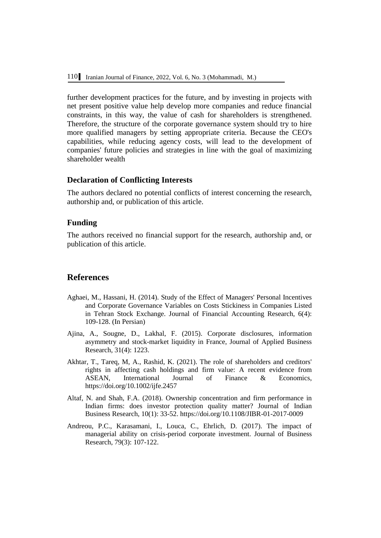further development practices for the future, and by investing in projects with net present positive value help develop more companies and reduce financial constraints, in this way, the value of cash for shareholders is strengthened. Therefore, the structure of the corporate governance system should try to hire more qualified managers by setting appropriate criteria. Because the CEO's capabilities, while reducing agency costs, will lead to the development of companies' future policies and strategies in line with the goal of maximizing shareholder wealth

### **Declaration of Conflicting Interests**

The authors declared no potential conflicts of interest concerning the research, authorship and, or publication of this article.

### **Funding**

The authors received no financial support for the research, authorship and, or publication of this article.

### **References**

- Aghaei, M., Hassani, H. (2014). Study of the Effect of Managers' Personal Incentives and Corporate Governance Variables on Costs Stickiness in Companies Listed in Tehran Stock Exchange. Journal of Financial Accounting Research, 6(4): 109-128. (In Persian)
- Ajina, A., Sougne, D., Lakhal, F. (2015). Corporate disclosures, information asymmetry and stock-market liquidity in France, Journal of Applied Business Research, 31(4): 1223.
- Akhtar, T., Tareq, M, A., Rashid, K. (2021). The role of shareholders and creditors' rights in affecting cash holdings and firm value: A recent evidence from ASEAN, International Journal of Finance & Economics, https://doi.org/10.1002/ijfe.2457
- Altaf, N. and Shah, F.A. (2018). Ownership concentration and firm performance in Indian firms: does investor protection quality matter? Journal of Indian Business Research, 10(1): 33-52. https://doi.org/10.1108/JIBR-01-2017-0009
- Andreou, P.C., Karasamani, I., Louca, C., Ehrlich, D. (2017). The impact of managerial ability on crisis-period corporate investment. Journal of Business Research, 79(3): 107-122.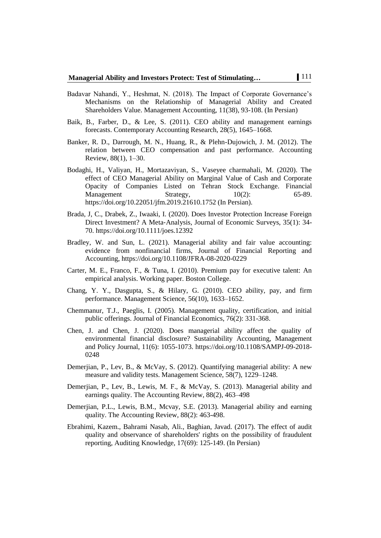- Badavar Nahandi, Y., Heshmat, N. (2018). The Impact of Corporate Governance's Mechanisms on the Relationship of Managerial Ability and Created Shareholders Value. Management Accounting, 11(38), 93-108. (In Persian)
- Baik, B., Farber, D., & Lee, S. (2011). CEO ability and management earnings forecasts. Contemporary Accounting Research, 28(5), 1645–1668.
- Banker, R. D., Darrough, M. N., Huang, R., & Plehn-Dujowich, J. M. (2012). The relation between CEO compensation and past performance. Accounting Review, 88(1), 1–30.
- Bodaghi, H., Valiyan, H., Mortazaviyan, S., Vaseyee charmahali, M. (2020). The effect of CEO Managerial Ability on Marginal Value of Cash and Corporate Opacity of Companies Listed on Tehran Stock Exchange. Financial Management Strategy,  $10(2)$ : 65-89. Management Strategy,  $10(2)$ : 65-89. https://doi.org/10.22051/jfm.2019.21610.1752 (In Persian).
- Brada, J, C., Drabek, Z., Iwaaki, I. (2020). Does Investor Protection Increase Foreign Direct Investment? A Meta‐Analysis, Journal of Economic Surveys, 35(1): 34- 70. https://doi.org/10.1111/joes.12392
- Bradley, W. and Sun, L. (2021). Managerial ability and fair value accounting: evidence from nonfinancial firms, Journal of Financial Reporting and Accounting, https://doi.org/10.1108/JFRA-08-2020-0229
- Carter, M. E., Franco, F., & Tuna, I. (2010). Premium pay for executive talent: An empirical analysis. Working paper. Boston College.
- Chang, Y. Y., Dasgupta, S., & Hilary, G. (2010). CEO ability, pay, and firm performance. Management Science, 56(10), 1633–1652.
- Chemmanur, T.J., Paeglis, I. (2005). Management quality, certification, and initial public offerings. Journal of Financial Economics, 76(2): 331-368.
- Chen, J. and Chen, J. (2020). Does managerial ability affect the quality of environmental financial disclosure? Sustainability Accounting, Management and Policy Journal, 11(6): 1055-1073. https://doi.org/10.1108/SAMPJ-09-2018- 0248
- Demerjian, P., Lev, B., & McVay, S. (2012). Quantifying managerial ability: A new measure and validity tests. Management Science, 58(7), 1229–1248.
- Demerjian, P., Lev, B., Lewis, M. F., & McVay, S. (2013). Managerial ability and earnings quality. The Accounting Review, 88(2), 463–498
- Demerjian, P.L., Lewis, B.M., Mcvay, S.E. (2013). Managerial ability and earning quality. The Accounting Review, 88(2): 463-498.
- Ebrahimi, Kazem., Bahrami Nasab, Ali., Baghian, Javad. (2017). The effect of audit quality and observance of shareholders' rights on the possibility of fraudulent reporting, Auditing Knowledge, 17(69): 125-149. (In Persian)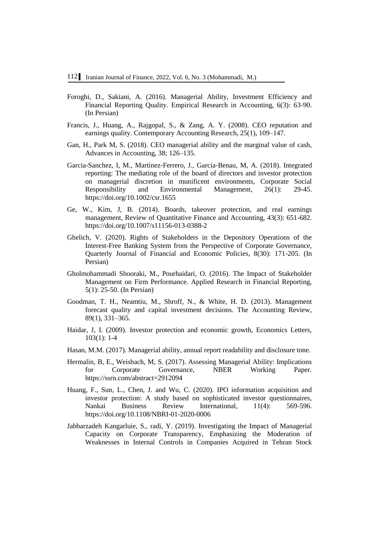- Foroghi, D., Sakiani, A. (2016). Managerial Ability, Investment Efficiency and Financial Reporting Quality. Empirical Research in Accounting, 6(3): 63-90. (In Persian)
- Francis, J., Huang, A., Rajgopal, S., & Zang, A. Y. (2008). CEO reputation and earnings quality. Contemporary Accounting Research, 25(1), 109–147.
- Gan, H., Park M, S. (2018). CEO managerial ability and the marginal value of cash, Advances in Accounting, 38; 126–135.
- Garcia-Sanchez, I, M., Martínez‐Ferrero, J., Garcia‐Benau, M, A. (2018). Integrated reporting: The mediating role of the board of directors and investor protection on managerial discretion in munificent environments, Corporate Social Responsibility and Environmental Management, 26(1): 29-45. <https://doi.org/10.1002/csr.1655>
- Ge, W., Kim, J, B. (2014). Boards, takeover protection, and real earnings management, Review of Quantitative Finance and Accounting, 43(3): 651-682. <https://doi.org/10.1007/s11156-013-0388-2>
- Ghelich, V. (2020). Rights of Stakeholders in the Depository Operations of the Interest-Free Banking System from the Perspective of Corporate Governance, Quarterly Journal of Financial and Economic Policies, 8(30): 171-205. (In Persian)
- Gholmohammadi Shooraki, M., Pourhaidari, O. (2016). The Impact of Stakeholder Management on Firm Performance. Applied Research in Financial Reporting, 5(1): 25-50. (In Persian)
- Goodman, T. H., Neamtiu, M., Shroff, N., & White, H. D. (2013). Management forecast quality and capital investment decisions. The Accounting Review, 89(1), 331–365.
- Haidar, J, I. (2009). Investor protection and economic growth, Economics Letters, 103(1): 1-4
- Hasan, M.M. (2017). Managerial ability, annual report readability and disclosure tone.
- Hermalin, B, E., Weisbach, M, S. (2017). Assessing Managerial Ability: Implications for Corporate Governance, NBER Working Paper. <https://ssrn.com/abstract=2912094>
- Huang, F., Sun, L., Chen, J. and Wu, C. (2020). IPO information acquisition and investor protection: A study based on sophisticated investor questionnaires, Nankai Business Review International, 11(4): 569-596. <https://doi.org/10.1108/NBRI-01-2020-0006>
- Jabbarzadeh Kangarluie, S., radi, Y. (2019). Investigating the Impact of Managerial Capacity on Corporate Transparency, Emphasizing the Moderation of Weaknesses in Internal Controls in Companies Acquired in Tehran Stock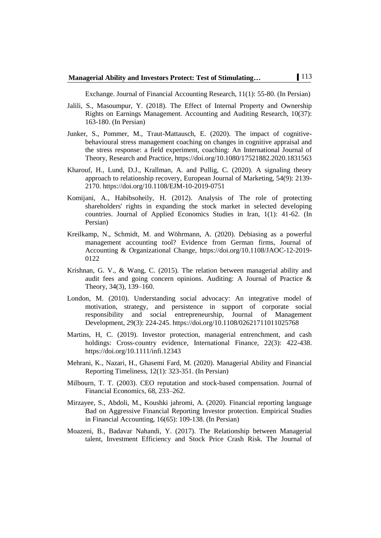Exchange. Journal of Financial Accounting Research, 11(1): 55-80. (In Persian)

- Jalili, S., Masoumpur, Y. (2018). The Effect of Internal Property and Ownership Rights on Earnings Management. Accounting and Auditing Research, 10(37): 163-180. (In Persian)
- Junker, S., Pommer, M., Traut-Mattausch, E. (2020). The impact of cognitivebehavioural stress management coaching on changes in cognitive appraisal and the stress response: a field experiment, coaching: An International Journal of Theory, Research and Practice,<https://doi.org/10.1080/17521882.2020.1831563>
- Kharouf, H., Lund, D.J., Krallman, A. and Pullig, C. (2020). A signaling theory approach to relationship recovery, European Journal of Marketing, 54(9): 2139- 2170[. https://doi.org/10.1108/EJM-10-2019-0751](https://doi.org/10.1108/EJM-10-2019-0751)
- Komijani, A., Habibsoheily, H. (2012). Analysis of The role of protecting shareholders' rights in expanding the stock market in selected developing countries. Journal of Applied Economics Studies in Iran, 1(1): 41-62. (In Persian)
- Kreilkamp, N., Schmidt, M. and Wöhrmann, A. (2020). Debiasing as a powerful management accounting tool? Evidence from German firms, Journal of Accounting & Organizational Change, [https://doi.org/10.1108/JAOC-12-2019-](https://doi.org/10.1108/JAOC-12-2019-0122) [0122](https://doi.org/10.1108/JAOC-12-2019-0122)
- Krishnan, G. V., & Wang, C. (2015). The relation between managerial ability and audit fees and going concern opinions. Auditing: A Journal of Practice & Theory, 34(3), 139–160.
- London, M. (2010). Understanding social advocacy: An integrative model of motivation, strategy, and persistence in support of corporate social responsibility and social entrepreneurship, Journal of Management Development, 29(3): 224-245.<https://doi.org/10.1108/02621711011025768>
- Martins, H, C. (2019). Investor protection, managerial entrenchment, and cash holdings: Cross-country evidence, International Finance, 22(3): 422-438. <https://doi.org/10.1111/infi.12343>
- Mehrani, K., Nazari, H., Ghasemi Fard, M. (2020). Managerial Ability and Financial Reporting Timeliness, 12(1): 323-351. (In Persian)
- Milbourn, T. T. (2003). CEO reputation and stock-based compensation. Journal of Financial Economics, 68, 233–262.
- Mirzayee, S., Abdoli, M., Koushki jahromi, A. (2020). Financial reporting language Bad on Aggressive Financial Reporting Investor protection. Empirical Studies in Financial Accounting, 16(65): 109-138. (In Persian)
- Moazeni, B., Badavar Nahandi, Y. (2017). The Relationship between Managerial talent, Investment Efficiency and Stock Price Crash Risk. The Journal of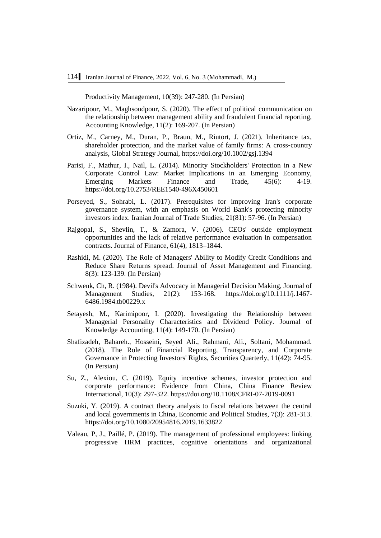Productivity Management, 10(39): 247-280. (In Persian)

- Nazaripour, M., Maghsoudpour, S. (2020). The effect of political communication on the relationship between management ability and fraudulent financial reporting, Accounting Knowledge, 11(2): 169-207. (In Persian)
- Ortiz, M., Carney, M., Duran, P., Braun, M., Riutort, J. (2021). Inheritance tax, shareholder protection, and the market value of family firms: A cross-country analysis, Global Strategy Journal,<https://doi.org/10.1002/gsj.1394>
- Parisi, F., Mathur, I., Nail, L. (2014). Minority Stockholders' Protection in a New Corporate Control Law: Market Implications in an Emerging Economy, Emerging Markets Finance and Trade, 45(6): 4-19. <https://doi.org/10.2753/REE1540-496X450601>
- Porseyed, S., Sohrabi, L. (2017). Prerequisites for improving Iran's corporate governance system, with an emphasis on World Bank's protecting minority investors index. Iranian Journal of Trade Studies, 21(81): 57-96. (In Persian)
- Rajgopal, S., Shevlin, T., & Zamora, V. (2006). CEOs' outside employment opportunities and the lack of relative performance evaluation in compensation contracts. Journal of Finance, 61(4), 1813–1844.
- Rashidi, M. (2020). The Role of Managers' Ability to Modify Credit Conditions and Reduce Share Returns spread. Journal of Asset Management and Financing, 8(3): 123-139. (In Persian)
- Schwenk, Ch, R. (1984). Devil's Advocacy in Managerial Decision Making, Journal of Management Studies, 21(2): 153-168. [https://doi.org/10.1111/j.1467-](https://doi.org/10.1111/j.1467-6486.1984.tb00229.x) [6486.1984.tb00229.x](https://doi.org/10.1111/j.1467-6486.1984.tb00229.x)
- Setayesh, M., Karimipoor, I. (2020). Investigating the Relationship between Managerial Personality Characteristics and Dividend Policy. Journal of Knowledge Accounting, 11(4): 149-170. (In Persian)
- Shafizadeh, Bahareh., Hosseini, Seyed Ali., Rahmani, Ali., Soltani, Mohammad. (2018). The Role of Financial Reporting, Transparency, and Corporate Governance in Protecting Investors' Rights, Securities Quarterly, 11(42): 74-95. (In Persian)
- Su, Z., Alexiou, C. (2019). Equity incentive schemes, investor protection and corporate performance: Evidence from China, China Finance Review International, 10(3): 297-322[. https://doi.org/10.1108/CFRI-07-2019-0091](https://doi.org/10.1108/CFRI-07-2019-0091)
- Suzuki, Y. (2019). A contract theory analysis to fiscal relations between the central and local governments in China, Economic and Political Studies, 7(3): 281-313. <https://doi.org/10.1080/20954816.2019.1633822>
- Valeau, P, J., Paillé, P. (2019). The management of professional employees: linking progressive HRM practices, cognitive orientations and organizational